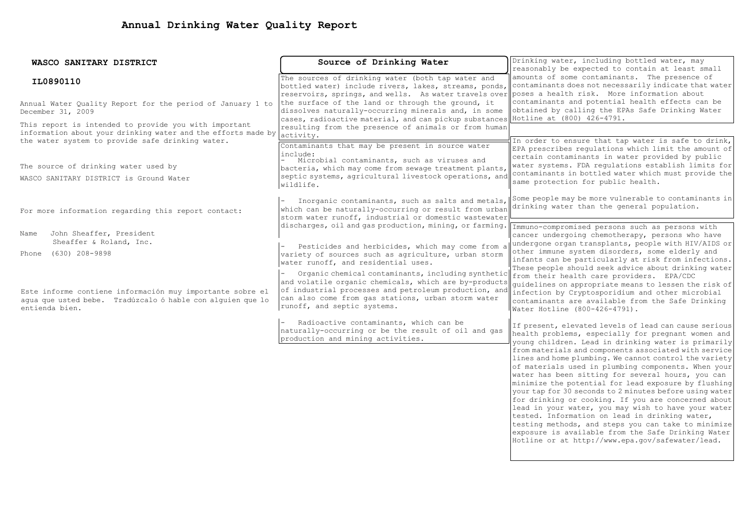| WASCO SANITARY DISTRICT                                       | Source of Drinking Water                                                                                                                 | Drinking water, including bottled water, may                                                                |  |  |
|---------------------------------------------------------------|------------------------------------------------------------------------------------------------------------------------------------------|-------------------------------------------------------------------------------------------------------------|--|--|
|                                                               |                                                                                                                                          | reasonably be expected to contain at least small                                                            |  |  |
| IL0890110                                                     | The sources of drinking water (both tap water and                                                                                        | amounts of some contaminants. The presence of                                                               |  |  |
|                                                               | bottled water) include rivers, lakes, streams, ponds, contaminants does not necessarily indicate that water                              |                                                                                                             |  |  |
|                                                               | reservoirs, springs, and wells. As water travels over poses a health risk. More information about                                        |                                                                                                             |  |  |
| Annual Water Quality Report for the period of January 1 to    | the surface of the land or through the ground, it                                                                                        | contaminants and potential health effects can be<br>obtained by calling the EPAs Safe Drinking Water        |  |  |
| December 31, 2009                                             | dissolves naturally-occurring minerals and, in some<br>cases, radioactive material, and can pickup substances Hotline at (800) 426-4791. |                                                                                                             |  |  |
| This report is intended to provide you with important         | resulting from the presence of animals or from human                                                                                     |                                                                                                             |  |  |
| information about your drinking water and the efforts made by | activity.                                                                                                                                |                                                                                                             |  |  |
| the water system to provide safe drinking water.              | Contaminants that may be present in source water                                                                                         | In order to ensure that tap water is safe to drink,                                                         |  |  |
|                                                               | include:                                                                                                                                 | EPA prescribes regulations which limit the amount of                                                        |  |  |
|                                                               | Microbial contaminants, such as viruses and                                                                                              | certain contaminants in water provided by public                                                            |  |  |
| The source of drinking water used by                          | bacteria, which may come from sewage treatment plants,                                                                                   | water systems. FDA regulations establish limits for                                                         |  |  |
| WASCO SANITARY DISTRICT is Ground Water                       | septic systems, agricultural livestock operations, and                                                                                   | contaminants in bottled water which must provide the<br>same protection for public health.                  |  |  |
|                                                               | wildlife.                                                                                                                                |                                                                                                             |  |  |
|                                                               |                                                                                                                                          | Some people may be more vulnerable to contaminants in                                                       |  |  |
|                                                               | Inorganic contaminants, such as salts and metals,                                                                                        | drinking water than the general population.                                                                 |  |  |
| For more information regarding this report contact:           | which can be naturally-occurring or result from urban<br>storm water runoff, industrial or domestic wastewater                           |                                                                                                             |  |  |
|                                                               | discharges, oil and gas production, mining, or farming.                                                                                  |                                                                                                             |  |  |
| John Sheaffer, President<br>Name                              |                                                                                                                                          | Immuno-compromised persons such as persons with<br>cancer undergoing chemotherapy, persons who have         |  |  |
| Sheaffer & Roland, Inc.                                       |                                                                                                                                          | undergone organ transplants, people with HIV/AIDS or                                                        |  |  |
|                                                               | Pesticides and herbicides, which may come from a                                                                                         | other immune system disorders, some elderly and                                                             |  |  |
| Phone (630) 208-9898                                          | variety of sources such as agriculture, urban storm                                                                                      | infants can be particularly at risk from infections.                                                        |  |  |
|                                                               | water runoff, and residential uses.                                                                                                      | These people should seek advice about drinking water                                                        |  |  |
|                                                               | Organic chemical contaminants, including synthetic from their health care providers. EPA/CDC                                             |                                                                                                             |  |  |
|                                                               | and volatile organic chemicals, which are by-products                                                                                    | quidelines on appropriate means to lessen the risk of                                                       |  |  |
| Este informe contiene información muy importante sobre el     | of industrial processes and petroleum production, and infection by Cryptosporidium and other microbial                                   |                                                                                                             |  |  |
| aqua que usted bebe. Tradúzcalo ó hable con alquien que lo    | can also come from gas stations, urban storm water<br>runoff, and septic systems.                                                        | contaminants are available from the Safe Drinking                                                           |  |  |
| entienda bien.                                                |                                                                                                                                          | Water Hotline (800-426-4791).                                                                               |  |  |
|                                                               | Radioactive contaminants, which can be                                                                                                   |                                                                                                             |  |  |
|                                                               | naturally-occurring or be the result of oil and gas                                                                                      | If present, elevated levels of lead can cause serious<br>health problems, especially for pregnant women and |  |  |
|                                                               | production and mining activities.                                                                                                        | young children. Lead in drinking water is primarily                                                         |  |  |
|                                                               |                                                                                                                                          | from materials and components associated with service                                                       |  |  |
|                                                               |                                                                                                                                          | lines and home plumbing. We cannot control the variety                                                      |  |  |
|                                                               |                                                                                                                                          | of materials used in plumbing components. When your                                                         |  |  |
|                                                               |                                                                                                                                          | water has been sitting for several hours, you can                                                           |  |  |
|                                                               |                                                                                                                                          | minimize the potential for lead exposure by flushing                                                        |  |  |
|                                                               |                                                                                                                                          | your tap for 30 seconds to 2 minutes before using water                                                     |  |  |
|                                                               |                                                                                                                                          | for drinking or cooking. If you are concerned about                                                         |  |  |
|                                                               |                                                                                                                                          | lead in your water, you may wish to have your water                                                         |  |  |
|                                                               |                                                                                                                                          | tested. Information on lead in drinking water,                                                              |  |  |
|                                                               |                                                                                                                                          | testing methods, and steps you can take to minimize<br>exposure is available from the Safe Drinking Water   |  |  |
|                                                               |                                                                                                                                          | Hotline or at http://www.epa.gov/safewater/lead.                                                            |  |  |
|                                                               |                                                                                                                                          |                                                                                                             |  |  |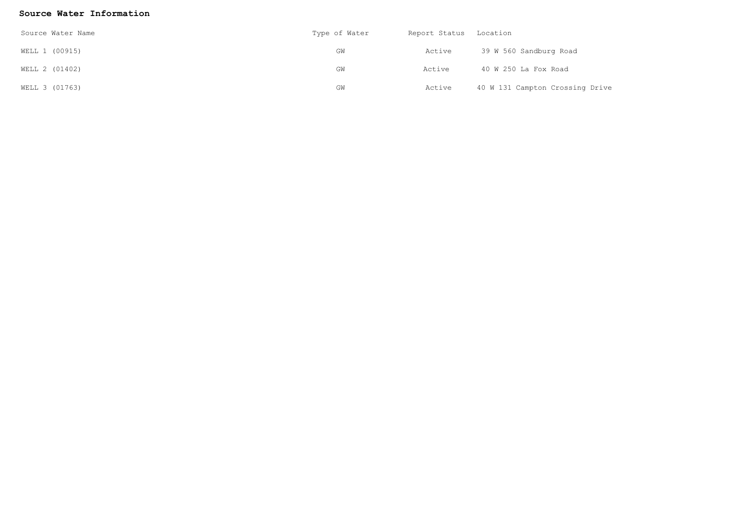## **Source Water Information**

| Source Water Name | Type of Water | Report Status | Location                        |  |
|-------------------|---------------|---------------|---------------------------------|--|
| WELL 1 (00915)    | GM            | Active        | 39 W 560 Sandburg Road          |  |
| WELL 2 (01402)    | GM            | Active        | 40 W 250 La Fox Road            |  |
| WELL 3 (01763)    | GW            | Active        | 40 W 131 Campton Crossing Drive |  |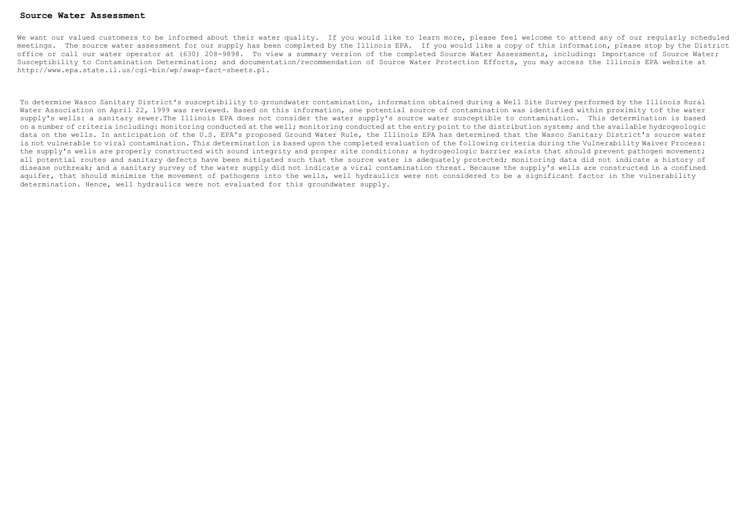#### **Source Water Assessment**

We want our valued customers to be informed about their water quality. If you would like to learn more, please feel welcome to attend any of our reqularly scheduled meetings. The source water assessment for our supply has been completed by the Illinois EPA. If you would like a copy of this information, please stop by the District office or call our water operator at (630) 208-9898. To view a summary version of the completed Source Water Assessments, including: Importance of Source Water; Susceptibility to Contamination Determination; and documentation/recommendation of Source Water Protection Efforts, you may access the Illinois EPA website at http://www.epa.state.il.us/cgi-bin/wp/swap-fact-sheets.pl.

To determine Wasco Sanitary District's susceptibility to groundwater contamination, information obtained during a Well Site Survey performed by the Illinois Rural Water Association on April 22, 1999 was reviewed. Based on this information, one potential source of contamination was identified within proximity tof the water supply's wells: a sanitary sewer.The Illinois EPA does not consider the water supply's source water susceptible to contamination. This determination is based on a number of criteria including: monitoring conducted at the well; monitoring conducted at the entry point to the distribution system; and the available hydrogeologic data on the wells. In anticipation of the U.S. EPA's proposed Ground Water Rule, the Illinois EPA has determined that the Wasco Sanitary District's source water is not vulnerable to viral contamination. This determination is based upon the completed evaluation of the following criteria during the Vulnerability Waiver Process: the supply's wells are properly constructed with sound integrity and proper site conditions; a hydrogeologic barrier exists that should prevent pathogen movement; all potential routes and sanitary defects have been mitigated such that the source water is adequately protected; monitoring data did not indicate a history of disease outbreak; and a sanitary survey of the water supply did not indicate a viral contamination threat. Because the supply's wells are constructed in a confined aquifer, that should minimize the movement of pathogens into the wells, well hydraulics were not considered to be a significant factor in the vulnerability determination. Hence, well hydraulics were not evaluated for this groundwater supply.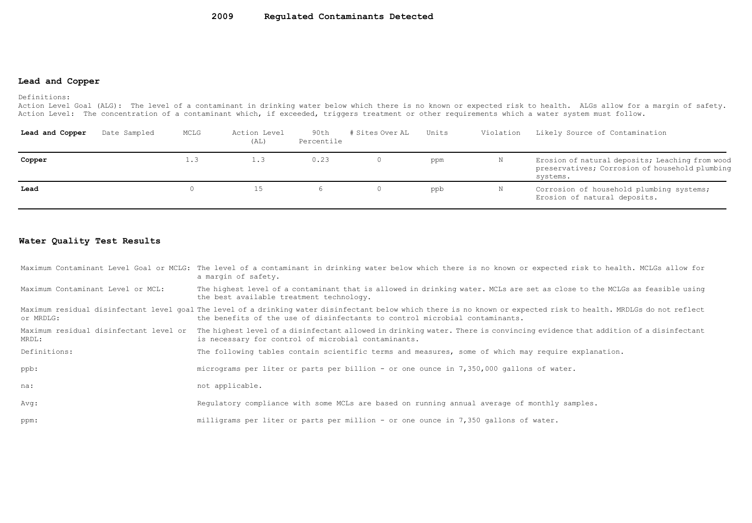#### **2009 Regulated Contaminants Detected**

## **Lead and Copper**

#### Definitions:

Action Level Goal (ALG): The level of a contaminant in drinking water below which there is no known or expected risk to health. ALGs allow for a margin of safety. Action Level: The concentration of a contaminant which, if exceeded, triggers treatment or other requirements which a water system must follow.

| Lead and Copper | Date Sampled | MCLG | Action Level<br>(AL) | 90th<br>Percentile | # Sites Over AL | Units | Violation | Likely Source of Contamination                                                                                |
|-----------------|--------------|------|----------------------|--------------------|-----------------|-------|-----------|---------------------------------------------------------------------------------------------------------------|
| Copper          |              | 1.3  | $\bot$ .3            | 0.23               |                 | ppm   | N         | Erosion of natural deposits; Leaching from wood<br>preservatives; Corrosion of household plumbing<br>systems. |
| Lead            |              | 0.   |                      |                    |                 | ppb   | N         | Corrosion of household plumbing systems;<br>Erosion of natural deposits.                                      |

### **Water Quality Test Results**

|                                   | Maximum Contaminant Level Goal or MCLG: The level of a contaminant in drinking water below which there is no known or expected risk to health. MCLGs allow for<br>a marqin of safety.                                                              |
|-----------------------------------|----------------------------------------------------------------------------------------------------------------------------------------------------------------------------------------------------------------------------------------------------|
| Maximum Contaminant Level or MCL: | The highest level of a contaminant that is allowed in drinking water. MCLs are set as close to the MCLGs as feasible using<br>the best available treatment technology.                                                                             |
| or MRDLG:                         | Maximum residual disinfectant level qoal The level of a drinking water disinfectant below which there is no known or expected risk to health. MRDLGs do not reflect<br>the benefits of the use of disinfectants to control microbial contaminants. |
| MRDL:                             | Maximum residual disinfectant level or The highest level of a disinfectant allowed in drinking water. There is convincing evidence that addition of a disinfectant<br>is necessary for control of microbial contaminants.                          |
| Definitions:                      | The following tables contain scientific terms and measures, some of which may require explanation.                                                                                                                                                 |
| ppb:                              | micrograms per liter or parts per billion - or one ounce in 7,350,000 gallons of water.                                                                                                                                                            |
| na:                               | not applicable.                                                                                                                                                                                                                                    |
| Avg:                              | Requlatory compliance with some MCLs are based on running annual average of monthly samples.                                                                                                                                                       |
| ppm:                              | milligrams per liter or parts per million - or one ounce in 7,350 gallons of water.                                                                                                                                                                |